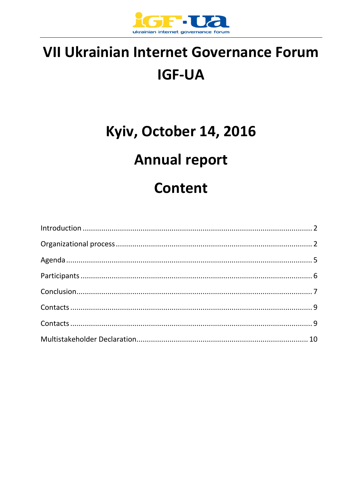

# VII Ukrainian Internet Governance Forum **IGF-UA**

# Kyiv, October 14, 2016

## **Annual report**

## **Content**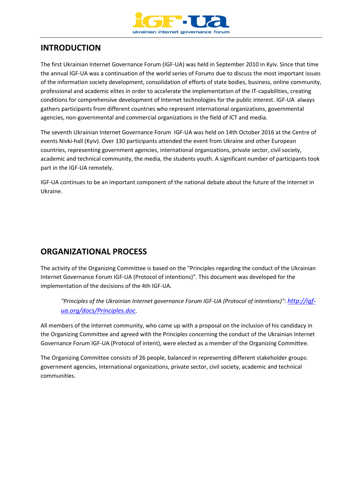

## **INTRODUCTION**

The first Ukrainian Internet Governance Forum (IGF-UA) was held in September 2010 in Kyiv. Since that time the annual IGF-UA was a continuation of the world series of Forums due to discuss the most important issues of the information society development, consolidation of efforts of state bodies, business, online community, professional and academic elites in order to accelerate the implementation of the IT-capabilities, creating conditions for comprehensive development of Internet technologies for the public interest. IGF-UA always gathers participants from different countries who represent international organizations, governmental agencies, non-governmental and commercial organizations in the field of ICT and media.

The seventh Ukrainian Internet Governance Forum IGF-UA was held on 14th October 2016 at the Centre of events Nivki-hall (Kyiv). Over 130 participants attended the event from Ukraine and other European countries, representing government agencies, international organizations, private sector, civil society, academic and technical community, the media, the students youth. A significant number of participants took part in the IGF-UA remotely.

IGF-UA continues to be an important component of the national debate about the future of the Internet in Ukraine.

## **ORGANIZATIONAL PROCESS**

The activity of the Organizing Committee is based on the "Principles regarding the conduct of the Ukrainian Internet Governance Forum IGF-UA (Protocol of intentions)". This document was developed for the implementation of the decisions of the 4th IGF-UA.

*"Principles of the Ukrainian Internet governance Forum IGF-UA (Protocol of intentions)": [http://igf](http://igf-ua.org/docs/Principles.doc)[ua.org/docs/Principles.doc](http://igf-ua.org/docs/Principles.doc)*.

All members of the Internet community, who came up with a proposal on the inclusion of his candidacy in the Organizing Committee and agreed with the Principles concerning the conduct of the Ukrainian Internet Governance Forum IGF-UA (Protocol of intent), were elected as a member of the Organizing Committee.

The Organizing Committee consists of 26 people, balanced in representing different stakeholder groups: government agencies, international organizations, private sector, civil society, academic and technical communities.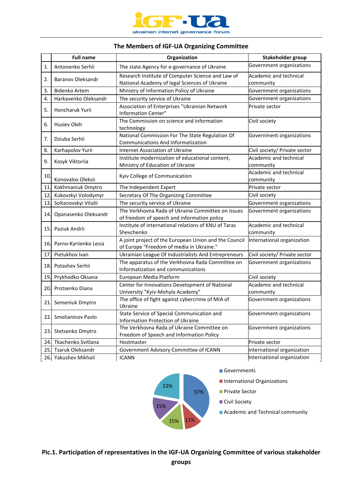

#### **The Members of IGF-UA Organizing Committee**

|            | <b>Full name</b>         | Organization                                                                                       | Stakeholder group                   |
|------------|--------------------------|----------------------------------------------------------------------------------------------------|-------------------------------------|
| 1.         | Antonenko Serhii         | The state Agency for e-governance of Ukraine                                                       | Government organizations            |
| 2.         | <b>Baranov Oleksandr</b> | Research Institute of Computer Science and Law of<br>National Academy of legal Sciences of Ukraine | Academic and technical<br>community |
| 3.         | <b>Bidenko Artem</b>     | Ministry of Information Policy of Ukraine                                                          | Government organizations            |
| 4.         | Harkavenko Oleksandr     | The security service of Ukraine                                                                    | Government organizations            |
| 5.         | Honcharuk Yurii          | Association of Enterprises "Ukrainian Network<br>Information Center"                               | Private sector                      |
| 6.         | <b>Husiev Oleh</b>       | The Commission on science and information<br>technology                                            | Civil society                       |
| 7.         | Dziuba Serhii            | National Commission For The State Regulation Of<br><b>Communications And Informatization</b>       | Government organizations            |
| 8.         | Karhapolov Yurii         | Internet Association of Ukraine                                                                    | Civil society/ Private sector       |
| 9.         | Kosyk Viktoriia          | Institute modernization of educational content,<br>Ministry of Education of Ukraine                | Academic and technical<br>community |
| 10.        | Konovalov Oleksii        | Kyiv College of Communication                                                                      | Academic and technical<br>community |
| 11.        | Kokhmaniuk Dmytro        | The Independent Expert                                                                             | Private sector                      |
| 12.        | Kukovskyi Volodymyr      | Secretary Of The Organizing Committee                                                              | Civil society                       |
| 13.        | Soltanovskyi Vitalii     | The security service of Ukraine                                                                    | Government organizations            |
| 14.        | Opanasenko Oleksandr     | The Verkhovna Rada of Ukraine Committee on issues<br>of freedom of speech and information policy   | Government organizations            |
| 15.I       | Paziuk Andrii            | Institute of international relations of KNU of Taras<br>Shevchenko                                 | Academic and technical<br>community |
| <b>16.</b> | Parno-Kyriienko Lesia    | A joint project of the European Union and the Council<br>of Europe "Freedom of media in Ukraine."  | International organization          |
| 17.        | Pietukhov Ivan           | Ukrainian League Of Industrialists And Entrepreneurs                                               | Civil society/ Private sector       |
| 18.        | Potashev Serhii          | The apparatus of the Verkhovna Rada Committee on<br>Informatization and communications             | Government organizations            |
|            | 19. Prykhodko Oksana     | European Media Platform                                                                            | Civil society                       |
| 20.        | Protsenko Diana          | Center for Innovations Development of National<br>University "Kyiv-Mohyla Academy"                 | Academic and technical<br>community |
| 21.        | Semeniuk Dmytro          | The office of fight against cybercrime of MIA of<br>Ukraine                                        | Government organizations            |
| 22.        | Smolianinov Pavlo        | State Service of Special Communication and<br>Information Protection of Ukraine                    | Government organizations            |
| 23.        | Stetsenko Dmytro         | The Verkhovna Rada of Ukraine Committee on<br>Freedom of Speech and Information Policy             | Government organizations            |
| 24.        | Tkachenko Svitlana       | Hostmaster                                                                                         | Private sector                      |
| 25.        | Tsaruk Oleksandr         | Government Advisory Committee of ICANN                                                             | International organization          |
| 26.        | Yakushev Mikhail         | <b>ICANN</b>                                                                                       | International organization          |



Governments

**International Organizations** 

- **Private Sector**
- **Civil Society**
- **Academic and Technical community**

**Pic.1. Participation of representatives in the IGF-UA Organizing Committee of various stakeholder**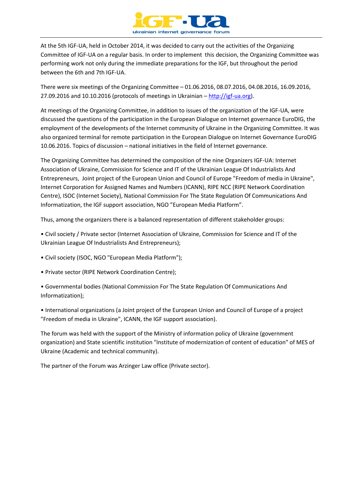

At the 5th IGF-UA, held in October 2014, it was decided to carry out the activities of the Organizing Committee of IGF-UA on a regular basis. In order to implement this decision, the Organizing Committee was performing work not only during the immediate preparations for the IGF, but throughout the period between the 6th and 7th IGF-UA.

There were six meetings of the Organizing Committee – 01.06.2016, 08.07.2016, 04.08.2016, 16.09.2016, 27.09.2016 and 10.10.2016 (protocols of meetings in Ukrainian – [http://igf-ua.org\)](http://igf-ua.org/).

At meetings of the Organizing Committee, in addition to issues of the organization of the IGF-UA, were discussed the questions of the participation in the European Dialogue on Internet governance EuroDIG, the employment of the developments of the Internet community of Ukraine in the Organizing Committee. It was also organized terminal for remote participation in the European Dialogue on Internet Governance EuroDIG 10.06.2016. Topics of discussion – national initiatives in the field of Internet governance.

The Organizing Committee has determined the composition of the nine Organizers IGF-UA: Internet Association of Ukraine, Commission for Science and IT of the Ukrainian League Of Industrialists And Entrepreneurs, Joint project of the European Union and Council of Europe "Freedom of media in Ukraine", Internet Corporation for Assigned Names and Numbers (ICANN), RIPE NCC (RIPE Network Coordination Centre), ISOC (Internet Society), National Commission For The State Regulation Of Communications And Informatization, the IGF support association, NGO "European Media Platform".

Thus, among the organizers there is a balanced representation of different stakeholder groups:

• Civil society / Private sector (Internet Association of Ukraine, Commission for Science and IT of the Ukrainian League Of Industrialists And Entrepreneurs);

- Civil society (ISOC, NGO "European Media Platform");
- Private sector (RIPE Network Coordination Centre);

• Governmental bodies (National Commission For The State Regulation Of Communications And Informatization);

• International organizations (a Joint project of the European Union and Council of Europe of a project "Freedom of media in Ukraine", ICANN, the IGF support association).

The forum was held with the support of the Ministry of information policy of Ukraine (government organization) and State scientific institution "Institute of modernization of content of education" of MES of Ukraine (Academic and technical community).

The partner of the Forum was Arzinger Law office (Private sector).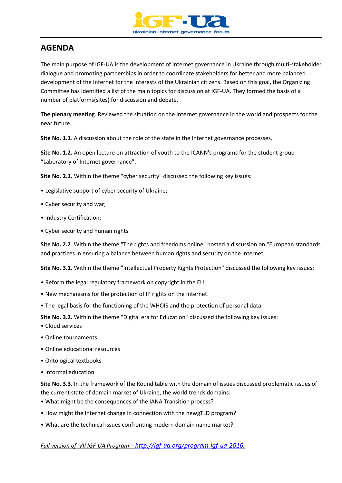

## **AGENDA**

The main purpose of IGF-UA is the development of Internet governance in Ukraine through multi-stakeholder dialogue and promoting partnerships in order to coordinate stakeholders for better and more balanced development of the Internet for the interests of the Ukrainian citizens. Based on this goal, the Organizing Committee has identified a list of the main topics for discussion at IGF-UA. They formed the basis of a number of platforms(sites) for discussion and debate.

**The plenary meeting**. Reviewed the situation on the Internet governance in the world and prospects for the near future.

**Site No. 1.1.** A discussion about the role of the state in the Internet governance processes.

**Site No. 1.2.** An open lecture on attraction of youth to the ICANN's programs for the student group "Laboratory of Internet governance".

**Site No. 2.1.** Within the theme "cyber security" discussed the following key issues:

- Legislative support of cyber security of Ukraine;
- Cyber security and war;
- Industry Certification;
- Cyber security and human rights

**Site No. 2.2**. Within the theme "The rights and freedoms online" hosted a discussion on "European standards and practices in ensuring a balance between human rights and security on the Internet.

**Site No. 3.1.** Within the theme "Intellectual Property Rights Protection" discussed the following key issues:

- Reform the legal regulatory framework on copyright in the EU
- New mechanisms for the protection of IP rights on the Internet.
- The legal basis for the functioning of the WHOIS and the protection of personal data.

**Site No. 3.2.** Within the theme "Digital era for Education" discussed the following key issues:

- Cloud services
- Online tournaments
- Online educational resources
- Ontological textbooks
- Informal education

**Site No. 3.3.** In the framework of the Round table with the domain of issues discussed problematic issues of the current state of domain market of Ukraine, the world trends domains:

- What might be the consequences of the IANA Transition process?
- How might the Internet change in connection with the newgTLD program?
- What are the technical issues confronting modern domain name market?

#### *Full version of VII IGF-UA Program – <http://igf-ua.org/program-igf-ua-2016>.*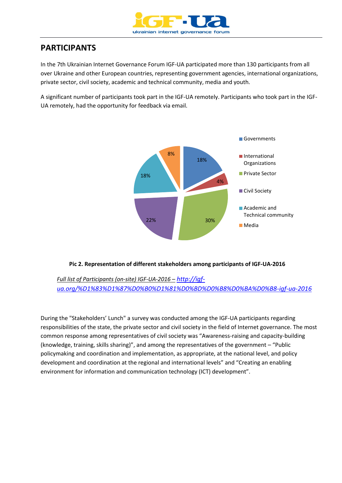

## **PARTICIPANTS**

In the 7th Ukrainian Internet Governance Forum IGF-UA participated more than 130 participants from all over Ukraine and other European countries, representing government agencies, international organizations, private sector, civil society, academic and technical community, media and youth.

A significant number of participants took part in the IGF-UA remotely. Participants who took part in the IGF-UA remotely, had the opportunity for feedback via email.



#### **Pic 2. Representation of different stakeholders among participants of IGF-UA-2016**

*Full list of Participants (on-site) IGF-UA-2016 – [http://igf](http://igf-ua.org/%D1%83%D1%87%D0%B0%D1%81%D0%BD%D0%B8%D0%BA%D0%B8-igf-ua-2016)[ua.org/%D1%83%D1%87%D0%B0%D1%81%D0%BD%D0%B8%D0%BA%D0%B8-igf-ua-2016](http://igf-ua.org/%D1%83%D1%87%D0%B0%D1%81%D0%BD%D0%B8%D0%BA%D0%B8-igf-ua-2016)*

During the "Stakeholders' Lunch" a survey was conducted among the IGF-UA participants regarding responsibilities of the state, the private sector and civil society in the field of Internet governance. The most common response among representatives of civil society was "Awareness-raising and capacity-building (knowledge, training, skills sharing)", and among the representatives of the government – "Public policymaking and coordination and implementation, as appropriate, at the national level, and policy development and coordination at the regional and international levels" and "Creating an enabling environment for information and communication technology (ICT) development".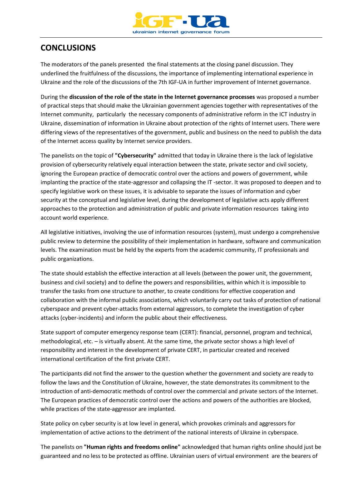

## **CONCLUSIONS**

The moderators of the panels presented the final statements at the closing panel discussion. They underlined the fruitfulness of the discussions, the importance of implementing international experience in Ukraine and the role of the discussions of the 7th IGF-UA in further improvement of Internet governance.

During the **discussion of the role of the state in the Internet governance processes** was proposed a number of practical steps that should make the Ukrainian government agencies together with representatives of the Internet community, particularly the necessary components of administrative reform in the ICT industry in Ukraine, dissemination of information in Ukraine about protection of the rights of Internet users. There were differing views of the representatives of the government, public and business on the need to publish the data of the Internet access quality by Internet service providers.

The panelists on the topic of **"Cybersecurity"** admitted that today in Ukraine there is the lack of legislative provision of cybersecurity relatively equal interaction between the state, private sector and civil society, ignoring the European practice of democratic control over the actions and powers of government, while implanting the practice of the state-aggressor and collapsing the IT -sector. It was proposed to deepen and to specify legislative work on these issues, it is advisable to separate the issues of information and cyber security at the conceptual and legislative level, during the development of legislative acts apply different approaches to the protection and administration of public and private information resources taking into account world experience.

All legislative initiatives, involving the use of information resources (system), must undergo a comprehensive public review to determine the possibility of their implementation in hardware, software and communication levels. The examination must be held by the experts from the academic community, IT professionals and public organizations.

The state should establish the effective interaction at all levels (between the power unit, the government, business and civil society) and to define the powers and responsibilities, within which it is impossible to transfer the tasks from one structure to another, to create conditions for effective cooperation and collaboration with the informal public associations, which voluntarily carry out tasks of protection of national cyberspace and prevent cyber-attacks from external aggressors, to complete the investigation of cyber attacks (cyber-incidents) and inform the public about their effectiveness.

State support of computer emergency response team (CERT): financial, personnel, program and technical, methodological, etc. – is virtually absent. At the same time, the private sector shows a high level of responsibility and interest in the development of private CERT, in particular created and received international certification of the first private CERT.

The participants did not find the answer to the question whether the government and society are ready to follow the laws and the Constitution of Ukraine, however, the state demonstrates its commitment to the introduction of anti-democratic methods of control over the commercial and private sectors of the Internet. The European practices of democratic control over the actions and powers of the authorities are blocked, while practices of the state-aggressor are implanted.

State policy on cyber security is at low level in general, which provokes criminals and aggressors for implementation of active actions to the detriment of the national interests of Ukraine in cyberspace.

The panelists on **"Human rights and freedoms online"** acknowledged that human rights online should just be guaranteed and no less to be protected as offline. Ukrainian users of virtual environment are the bearers of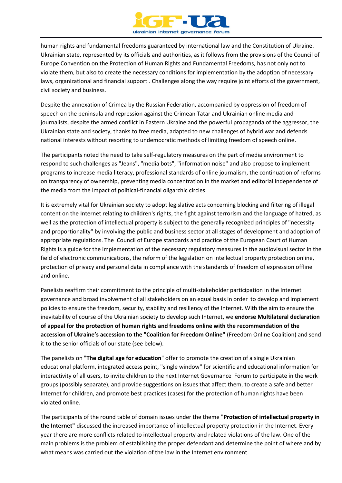

human rights and fundamental freedoms guaranteed by international law and the Constitution of Ukraine. Ukrainian state, represented by its officials and authorities, as it follows from the provisions of the Council of Europe Convention on the Protection of Human Rights and Fundamental Freedoms, has not only not to violate them, but also to create the necessary conditions for implementation by the adoption of necessary laws, organizational and financial support . Challenges along the way require joint efforts of the government, civil society and business.

Despite the annexation of Crimea by the Russian Federation, accompanied by oppression of freedom of speech on the peninsula and repression against the Crimean Tatar and Ukrainian online media and journalists, despite the armed conflict in Eastern Ukraine and the powerful propaganda of the aggressor, the Ukrainian state and society, thanks to free media, adapted to new challenges of hybrid war and defends national interests without resorting to undemocratic methods of limiting freedom of speech online.

The participants noted the need to take self-regulatory measures on the part of media environment to respond to such challenges as "Jeans", "media bots", "information noise" and also propose to implement programs to increase media literacy, professional standards of online journalism, the continuation of reforms on transparency of ownership, preventing media concentration in the market and editorial independence of the media from the impact of political-financial oligarchic circles.

It is extremely vital for Ukrainian society to adopt legislative acts concerning blocking and filtering of illegal content on the Internet relating to children's rights, the fight against terrorism and the language of hatred, as well as the protection of intellectual property is subject to the generally recognized principles of "necessity and proportionality" by involving the public and business sector at all stages of development and adoption of appropriate regulations. The Council of Europe standards and practice of the European Court of Human Rights is a guide for the implementation of the necessary regulatory measures in the audiovisual sector in the field of electronic communications, the reform of the legislation on intellectual property protection online, protection of privacy and personal data in compliance with the standards of freedom of expression offline and online.

Panelists reaffirm their commitment to the principle of multi-stakeholder participation in the Internet governance and broad involvement of all stakeholders on an equal basis in order to develop and implement policies to ensure the freedom, security, stability and resiliency of the Internet. With the aim to ensure the inevitability of course of the Ukrainian society to develop such Internet, we **endorse Multilateral declaration of appeal for the protection of human rights and freedoms online with the recommendation of the accession of Ukraine's accession to the "Coalition for Freedom Online"** (Freedom Online Coalition) and send it to the senior officials of our state (see below).

The panelists on "**The digital age for education**" offer to promote the creation of a single Ukrainian educational platform, integrated access point, "single window" for scientific and educational information for interactivity of all users, to invite children to the next Internet Governance Forum to participate in the work groups (possibly separate), and provide suggestions on issues that affect them, to create a safe and better Internet for children, and promote best practices (cases) for the protection of human rights have been violated online.

The participants of the round table of domain issues under the theme "**Protection of intellectual property in the Internet"** discussed the increased importance of intellectual property protection in the Internet. Every year there are more conflicts related to intellectual property and related violations of the law. One of the main problems is the problem of establishing the proper defendant and determine the point of where and by what means was carried out the violation of the law in the Internet environment.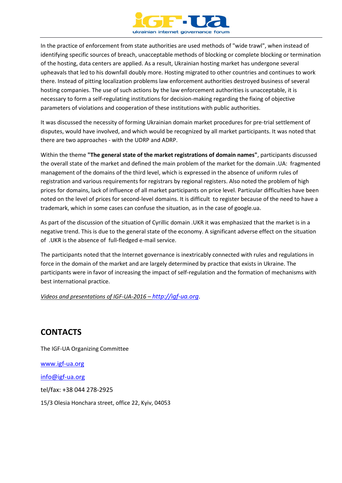

In the practice of enforcement from state authorities are used methods of "wide trawl", when instead of identifying specific sources of breach, unacceptable methods of blocking or complete blocking or termination of the hosting, data centers are applied. As a result, Ukrainian hosting market has undergone several upheavals that led to his downfall doubly more. Hosting migrated to other countries and continues to work there. Instead of pitting localization problems law enforcement authorities destroyed business of several hosting companies. The use of such actions by the law enforcement authorities is unacceptable, it is necessary to form a self-regulating institutions for decision-making regarding the fixing of objective parameters of violations and cooperation of these institutions with public authorities.

It was discussed the necessity of forming Ukrainian domain market procedures for pre-trial settlement of disputes, would have involved, and which would be recognized by all market participants. It was noted that there are two approaches - with the UDRP and ADRP.

Within the theme **"The general state of the market registrations of domain names"**, participants discussed the overall state of the market and defined the main problem of the market for the domain .UA: fragmented management of the domains of the third level, which is expressed in the absence of uniform rules of registration and various requirements for registrars by regional registers. Also noted the problem of high prices for domains, lack of influence of all market participants on price level. Particular difficulties have been noted on the level of prices for second-level domains. It is difficult to register because of the need to have a trademark, which in some cases can confuse the situation, as in the case of google.ua.

As part of the discussion of the situation of Cyrillic domain .UKR it was emphasized that the market is in a negative trend. This is due to the general state of the economy. A significant adverse effect on the situation of .UKR is the absence of full-fledged e-mail service.

The participants noted that the Internet governance is inextricably connected with rules and regulations in force in the domain of the market and are largely determined by practice that exists in Ukraine. The participants were in favor of increasing the impact of self-regulation and the formation of mechanisms with best international practice.

*Videos and presentations of IGF-UA-2016 – [http://igf-ua.org](http://igf-ua.org/)*.

## **CONTACTS**

The IGF-UA Organizing Committee [www.igf-ua.org](http://www.igf-ua.org/) [info@igf-ua.org](mailto:info@igf-ua.org) tel/fax: +38 044 278-2925 15/3 Olesia Honchara street, office 22, Kyiv, 04053